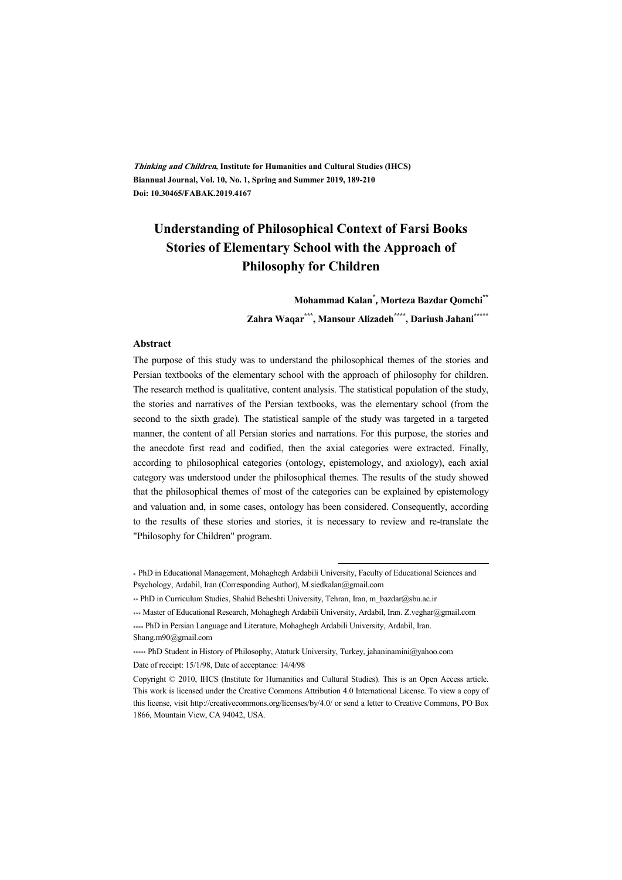**Thinking and Children, Institute for Humanities and Cultural Studies (IHCS) Biannual Journal, Vol. 10, No. 1, Spring and Summer 2019, 189-210 Doi: 10.30465/FABAK.2019.4167** 

# **Understanding of Philosophical Context of Farsi Books Stories of Elementary School with the Approach of Philosophy for Children**

**Mohammad Kalan\* , Morteza Bazdar Qomchi\*\*** 

**Zahra Waqar\*\*\* , Mansour Alizadeh\*\*\*\* , Dariush Jahani\*\*\*\*\***

#### **Abstract**

The purpose of this study was to understand the philosophical themes of the stories and Persian textbooks of the elementary school with the approach of philosophy for children. The research method is qualitative, content analysis. The statistical population of the study, the stories and narratives of the Persian textbooks, was the elementary school (from the second to the sixth grade). The statistical sample of the study was targeted in a targeted manner, the content of all Persian stories and narrations. For this purpose, the stories and the anecdote first read and codified, then the axial categories were extracted. Finally, according to philosophical categories (ontology, epistemology, and axiology), each axial category was understood under the philosophical themes. The results of the study showed that the philosophical themes of most of the categories can be explained by epistemology and valuation and, in some cases, ontology has been considered. Consequently, according to the results of these stories and stories, it is necessary to review and re-translate the "Philosophy for Children" program.

.

<sup>\*</sup> PhD in Educational Management, Mohaghegh Ardabili University, Faculty of Educational Sciences and Psychology, Ardabil, Iran (Corresponding Author), M.siedkalan@gmail.com

<sup>\*\*</sup> PhD in Curriculum Studies, Shahid Beheshti University, Tehran, Iran, m\_bazdar@sbu.ac.ir

<sup>\*\*\*</sup> Master of Educational Research, Mohaghegh Ardabili University, Ardabil, Iran. Z.veghar@gmail.com \*\*\*\* PhD in Persian Language and Literature, Mohaghegh Ardabili University, Ardabil, Iran.

Shang.m90@gmail.com

<sup>\*\*\*\*\*</sup> PhD Student in History of Philosophy, Ataturk University, Turkey, jahaninamini@yahoo.com Date of receipt: 15/1/98, Date of acceptance: 14/4/98

Copyright © 2010, IHCS (Institute for Humanities and Cultural Studies). This is an Open Access article. This work is licensed under the Creative Commons Attribution 4.0 International License. To view a copy of this license, visit http://creativecommons.org/licenses/by/4.0/ or send a letter to Creative Commons, PO Box 1866, Mountain View, CA 94042, USA.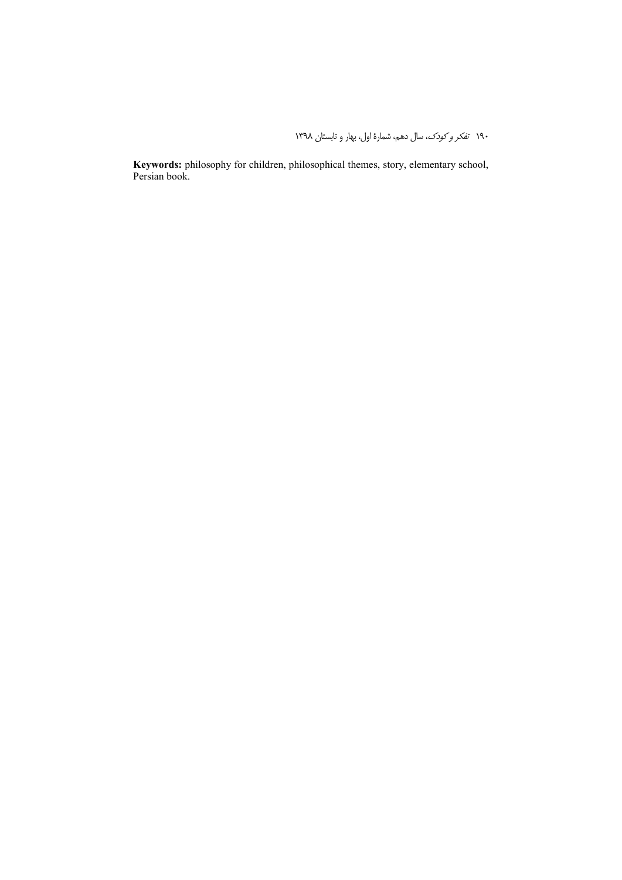**Keywords:** philosophy for children, philosophical themes, story, elementary school, Persian book.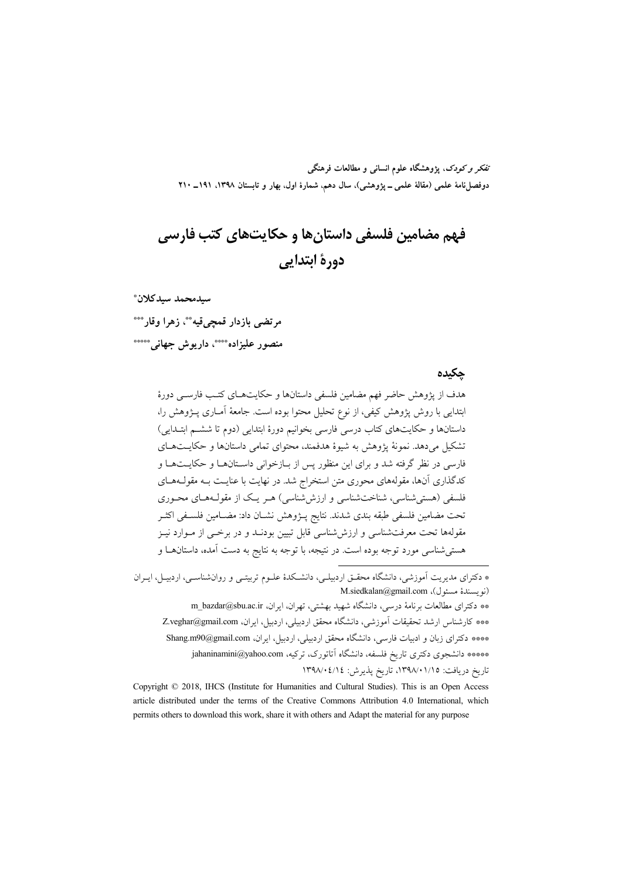تفکر و کودک، یژوهشگاه علوم انسانی و مطالعات فرهنگی دوفصلiاههٔ علمی (مقالهٔ علمی ــ پژوهشی)، سال دهم، شمارهٔ اول، بهار و تابستان ۱۳۹۸، ۱۹۹۱ ــ ۲۱۰

# فهم مضامین فلسفی داستان ها و حکایت های کتب فارسی دورة ابتدايي

سىدمحمد سىدكلان\*

مرتضى بازدار قمجيقيه \*\*، زهرا وقار\*\*\* منصور عليزاده\*\*\*\*، داريوش جهاني\*\*\*\*\*

### جكيده

هدف از يژوهش حاضر فهم مضامين فلسفى داستانها و حكايتهـاي كتـب فارسـي دورهٔ ابتدایی با روش پژوهش کیفی، از نوع تحلیل محتوا بوده است. جامعهٔ آمـاری پـژوهش را، داستانها و حکایتهای کتاب درسی فارسی بخوانیم دورهٔ ابتدایی (دوم تا ششـم ابتـدایی) تشکیل میدهد. نمونهٔ یژوهش به شیوهٔ هدفمند، محتوای تمامی داستانها و حکایــتهــای .<br>فارسی در نظر گرفته شد و برای این منظور پس از بـازخوانی داسـتانهــا و حکایــتهــا و کدگذاری آنها، مقولههای محوری متن استخراج شد. در نهایت با عنایـت بـه مقولــههــای فلسفی (هستی شناسی، شناخت شناسی و ارزش شناسی) هـر یـک از مقولـههـای محـوری تحت مضامين فلسفى طبقه بندى شدند. نتايج يـــزوهش نشـــان داد: مضـــامين فلســفي اكـَـــر مقولهها تحت معرفتشناسی و ارزششناسی قابل تبیین بودنـد و در برخــی از مــوارد نیــز هستی شناسی مورد توجه بوده است. در نتیجه، با توجه به نتایج به دست آمده، داستانهـا و

\*\* دكتراى مطالعات برنامهٔ درسي، دانشگاه شهيد بهشتي، تهران، ايران، m\_bazdar@sbu.ac.ir \*\*\* كارشناس ارشد تحقيقات آموزشي، دانشگاه محقق اردبيلي، اردبيل، ايران، Z.veghar@gmail.com \*\*\*\* دكتراى زبان و ادبيات فارسى، دانشگاه محقق اردبيلي، اردبيل، ايران، Shang.m90@gmail.com \*\*\*\*\* دانشجوی دکتری تاریخ فلسفه، دانشگاه آتاتورک، ترکیه، jahaninamini@yahoo.com تاريخ دريافت: ١٣٩٨/٠١/١٥، تاريخ يذيرش: ١٣٩٨/٠٤/١٤

Copyright © 2018, IHCS (Institute for Humanities and Cultural Studies). This is an Open Access article distributed under the terms of the Creative Commons Attribution 4.0 International, which permits others to download this work, share it with others and Adapt the material for any purpose

<sup>\*</sup> دکترای مدیریت آموزشی، دانشگاه محقـق اردبیلـی، دانشـکدهٔ علـوم تربیتـی و روانشناسـی، اردبیــل، ایــران  $M$ .siedkalan@gmail.com (نو يسندهٔ مسئول)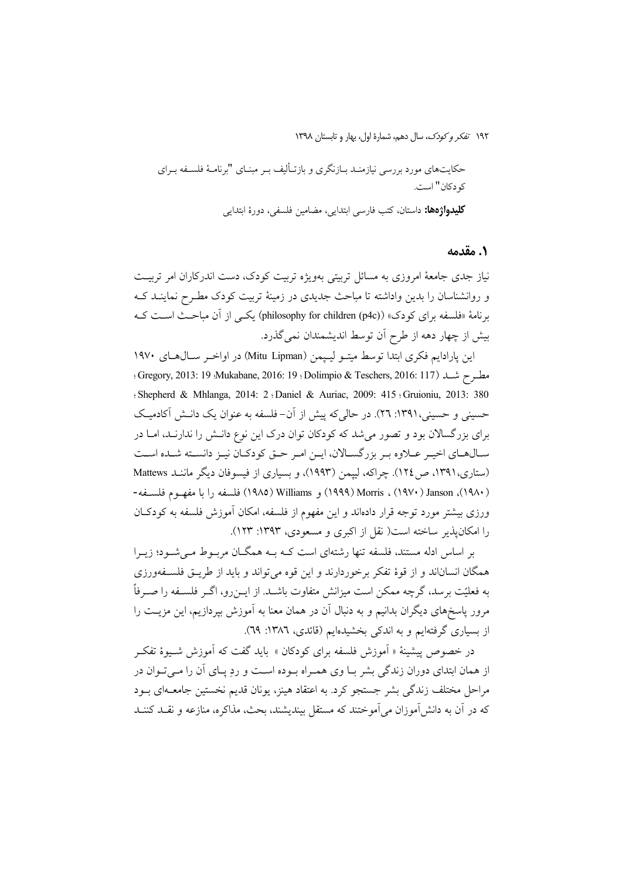حکایتهای مورد بررسی نیازمنـد بــازنگری و بازتــألیف بــر مبنــای "برنامــهٔ فلســفه بــرای كو دكان" است.

كليدواژهها: داستان، كتب فارسي ابتدايي، مضامين فلسفي، دورهٔ ابتدايي

### ٠. مقدمه

نیاز جدی جامعهٔ امروزی به مسائل تربیتی بهویژه تربیت کودک، دست اندرکاران امر تربیت و روانشناسان را بدین واداشته تا مباحث جدیدی در زمینهٔ تربیت کودک مطـرح نماینــد کــه برنامهٔ «فلسفه برای کودک» (philosophy for children (p4c)) یکسی از آن مباحث است کـه بیش از چهار دهه از طرح آن توسط اندیشمندان نمی گذرد.

این پارادایم فکری ابتدا توسط میتـو لیـیمن (Mitu Lipman) در اواخـر سـال۵حـای ۱۹۷۰ مطرح شد (117 :Gregory, 2013: 19 :Mukabane, 2016: 19 :Dolimpio & Teschers, 2016: 117 ؛ Shepherd & Mhlanga, 2014: 2 (Daniel & Auriac, 2009: 415 (Gruioniu, 2013: 380) حسینی و حسینی،۱۳۹۱: ۲۲). در حالی که پیش از آن-فلسفه به عنوان یک دانـش آکادمیـک برای بزرگسالان بود و تصور می شد که کودکان توان درک این نوع دانـش را ندارنـد، امـا در سـالهـای اخیـر عـلاوه بـر بزرگسـالان، ایـن امـر حـق کودکـان نیـز دانسـته شـده اسـت (ستاری،١٣٩١، ص ١٢٤). چراكه، لييمن (١٩٩٣)، و بسياري از فيسوفان ديگر ماننـد Mattews (١٩٨٠)، Morris ، (١٩٧٠) ، Morris) و Williams (١٩٨٥) فلسفه را با مفهـوم فلســفه-ورزی بیشتر مورد توجه قرار دادهاند و این مفهوم از فلسفه، امکان اَموزش فلسفه به کودکـان را امکان یذیر ساخته است( نقل از اکبری و مسعودی، ۱۳۹۳: ۱۲۳).

بر اساس ادله مستند، فلسفه تنها رشتهای است کـه بـه همگـان مربـوط مـی شـود؛ زیـرا همگان انساناند و از قوهٔ تفکر برخوردارند و این قوه میتواند و باید از طریـق فلسـفهورزی به فعلیّت برسد، گرچه ممکن است میزانش متفاوت باشـد. از ایــن(و، اگــر فلســفه را صــرفاً مرور پاسخهای دیگران بدانیم و به دنبال آن در همان معنا به آموزش بپردازیم، این مزیـت را از بسیاری گرفتهایم و به اندکی بخشیدهایم (قائدی، ۱۳۸۲: ۲۹).

در خصوص پیشینهٔ « اَموزش فلسفه برای کودکان » باید گفت که اَموزش شـیوهٔ تفکـر از همان ابتدای دوران زندگی بشر بـا وی همـراه بـوده اسـت و رد پــای آن را مــی تــوان در مراحل مختلف زندگی بشر جستجو کرد. به اعتقاد هینز، یونان قدیم نخستین جامعـهای بــود که در آن به دانش آموزان می آموختند که مستقل بیندیشند، بحث، مذاکره، منازعه و نقــد کننــد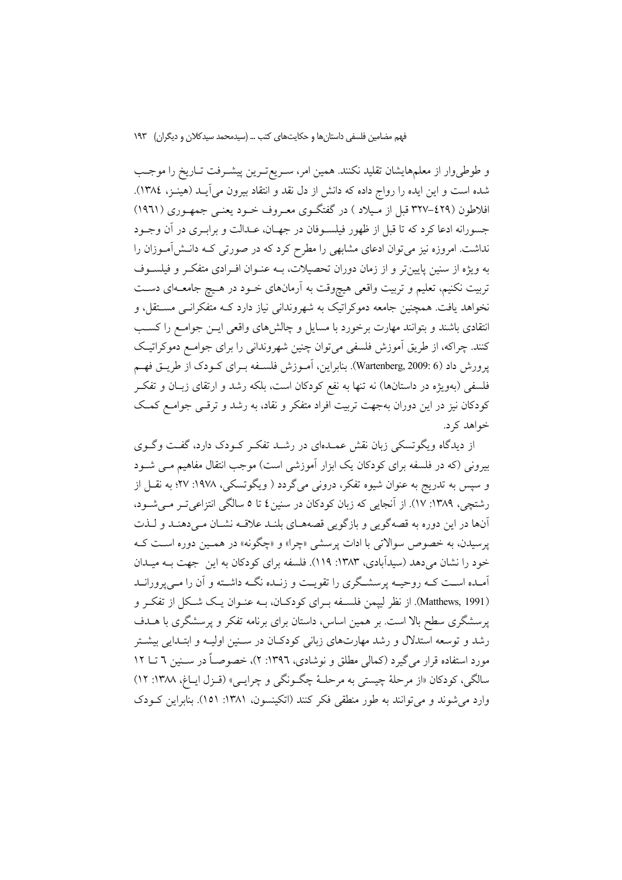و طوطىوار از معلمهايشان تقليد نكنند. همين امر، سـريع تـرين پيشـرفت تـاريخ را موجـب شده است و این ایده را رواج داده که دانش از دل نقد و انتقاد بیرون میآیــد (هینــز، ١٣٨٤). افلاطون (٤٢٩-٣٢٧ قبل از مـيلاد ) در گفتگــوي معــروف خــود يعنــي جمهــوري (١٩٦١) جسورانه ادعا كرد كه تا قبل از ظهور فيلسـوفان در جهـان، عـدالت و برابـري در آن وجـود نداشت. امروزه نیز میتوان ادعای مشابهی را مطرح کرد که در صورتی کـه دانــشآمــوزان را به ویژه از سنین پایینتر و از زمان دوران تحصیلات، بـه عنـوان افـرادی متفکـر و فیلســوف تربیت نکنیم، تعلیم و تربیت واقعی هیچوقت به آرمانهای خـود در هـیچ جامعـهای دسـت .<br>نخواهد یافت. همچنین جامعه دموکراتیک به شهروندانی نیاز دارد کــه متفکرانــی مســتقل، و انتقادی باشند و بتوانند مهارت برخورد با مسایل و چالشهای واقعی ایــن جوامــع را کســب کنند. چراکه، از طریق اَموزش فلسفی میٍتوان چنین شهروندانی را برای جوامـع دموکراتیـک يرورش داد (4 :Wartenberg, 2009). بنابراين، آمـوزش فلسـفه بـراي كـودك از طريــق فهــم فلسفی (بهویژه در داستانها) نه تنها به نفع کودکان است، بلکه رشد و ارتقای زبـان و تفکـر کودکان نیز در این دوران بهجهت تربیت افراد متفکر و نقاد، به رشد و ترقبی جوامـع کمـک خواهد کرد.

از دیدگاه ویگوتسکی زبان نقش عمـدهای در رشـد تفکـر کـودک دارد، گفـت وگـوی بیرونی (که در فلسفه برای کودکان یک ابزار آموزشی است) موجب انتقال مفاهیم مـی شـود و سپس به تدریج به عنوان شیوه تفکر، درونی میگردد ( ویگوتسکی، ۱۹۷۸: ۲۷؛ به نقــل از رشتچی، ۱۳۸۹: ۱۷). از آنجایی که زبان کودکان در سنین ٤ تا ٥ سالگی انتزاعی تـر مـی شـود، .<br>آنها در این دوره به قصهگویی و بازگویی قصههـای بلنـد علاقـه نشـان مـیدهنـد و لـذت پرسیدن، به خصوص سوالاتی با ادات پرسشی «چرا» و «چگونه» در هممین دوره است ک خود را نشان میدهد (سیدآبادی، ۱۳۸۳: ۱۱۹). فلسفه برای کودکان به این جهت بــه میــدان آمیده است کیه روحییه پرسشگری را تقویت و زنیده نگیه داشته و آن را می پرورانید (Matthews, 1991). از نظر ليپمن فلسـفه بـراي كودكـان، بـه عنـوان يـك شـكل از تفكـر و پرسشگری سطح بالا است. بر همین اساس، داستان برای برنامه تفکر و پرسشگری با هــدف رشد و توسعه استدلال و رشد مهارتهای زبانی کودکان در سـنین اولیـه و ابتـدایی بیشـتر مورد استفاده قرار می گیرد (کمالی مطلق و نوشادی، ۱۳۹۲: ۲)، خصوصـاً در سـنین ٦ تــا ١٢ سالگي، كودكان «از مرحلهٔ چيستي به مرحلـهٔ چگـونگي و چرايـبي» (قـزل ايـاغ، ١٣٨٨: ١٢) وارد مي شوند و مي توانند به طور منطقي فكر كنند (اتكينسون، ١٣٨١: ١٥١). بنابراين كـودك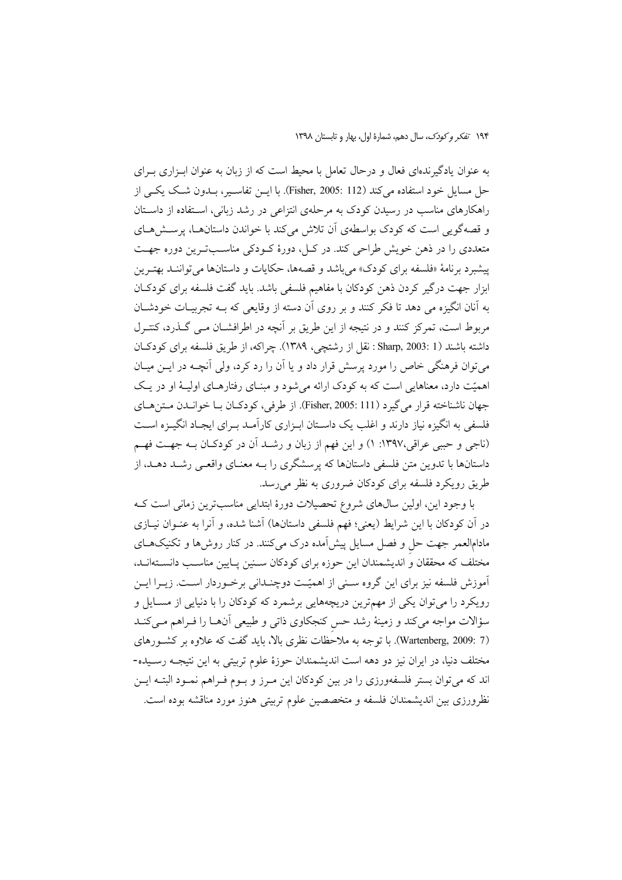به عنوان یادگیرندهای فعال و درحال تعامل با محیط است که از زبان به عنوان ابـزاری بـرای حل مسايل خود استفاده مي كند (Fisher, 2005: 112). با ايــن تفاســير، بــدون شــك يكــي از راهکارهای مناسب در رسیدن کودک به مرحلهی انتزاعی در رشد زبانی، استفاده از داستان و قصهگویی است که کودک بواسطهی آن تلاش میکند با خواندن داستانها، پرسش های متعددی را در ذهن خویش طراحی کند. در کــل، دورهٔ کــودکی مناســبتــرین دوره جهــت پیشبرد برنامهٔ «فلسفه برای کودک» می باشد و قصهها، حکایات و داستانها می تواننـد بهتـرین ابزار جهت درگیر کردن ذهن کودکان با مفاهیم فلسفی باشد. باید گفت فلسفه برای کودکـان به آنان انگیزه می دهد تا فکر کنند و بر روی آن دسته از وقایعی که بـه تجربیـات خودشـان مربوط است، تمرکز کنند و در نتیجه از این طریق بر آنچه در اطرافشـان مـبی گــذرد، کنتــرل داشته باشند (Sharp, 2003: 1 نقل از رشتچی، ۱۳۸۹). چراکه، از طریق فلسفه برای کودکان میتوان فرهنگی خاص را مورد پرسش قرار داد و یا آن را رد کرد، ولی آنچـه در ایــن میــان اهمیّت دارد، معناهایی است که به کودک ارائه می شود و مبنـای رفتارهـای اولیـهٔ او در یـک جهان ناشناخته قرار مي گيرد (Fisher, 2005: 111). از طرفي، كودكـان بـا خوانــدن مـتن هـاي فلسفی به انگیزه نیاز دارند و اغلب یک داسـتان ابـزاری کارآمـد بـرای ایجـاد انگیــزه اسـت (ناجی و حببی عراقی،۱۳۹۷: ۱) و این فهم از زبان و رشــد آن در کودکــان بــه جهــت فهــم داستانها با تدوین متن فلسفی داستانها که پرسشگری را بـه معنــای واقعــی رشــد دهــد، از طریق رویکرد فلسفه برای کودکان ضروری به نظر می رسد.

با وجود این، اولین سالهای شروع تحصیلات دورهٔ ابتدایی مناسبترین زمانی است ک در آن کودکان با این شرایط (یعنی؛ فهم فلسفی داستانها) آشنا شده، و آنرا به عنـوان نیــازی .<br>مادامالعمر جهت حل و فصل مسایل پیشآمده درک میکنند. در کنار روش۵ما و تکنیکهـای مختلف که محققان و اندیشمندان این حوزه برای کودکان سـنین پـایین مناسـب دانسـتهانـد، آموزش فلسفه نیز برای این گروه سـنی از اهمیّـت دوچنـدانی برخـوردار اسـت. زیــرا ایــن رویکرد را میتوان یکی از مهمترین دریچههایی برشمرد که کودکان را با دنیایی از مسـایل و سؤالات مواجه میکند و زمینهٔ رشد حس کنجکاوی ذاتی و طبیعی آنهـا را فـراهم مـیکنـد (Wartenberg, 2009: 7). با توجه به ملاحُظات نظری بالا، باید گفت که علاوه بر کشـورهای مختلف دنیا، در ایران نیز دو دهه است اندیشمندان حوزهٔ علوم تربیتی به این نتیجـه رسـیده-اند که میتوان بستر فلسفهورزی را در بین کودکان این مـرز و بـوم فـراهم نمـود البتـه ایـن نظرورزی بین اندیشمندان فلسفه و متخصصین علوم تربیتی هنوز مورد مناقشه بوده است.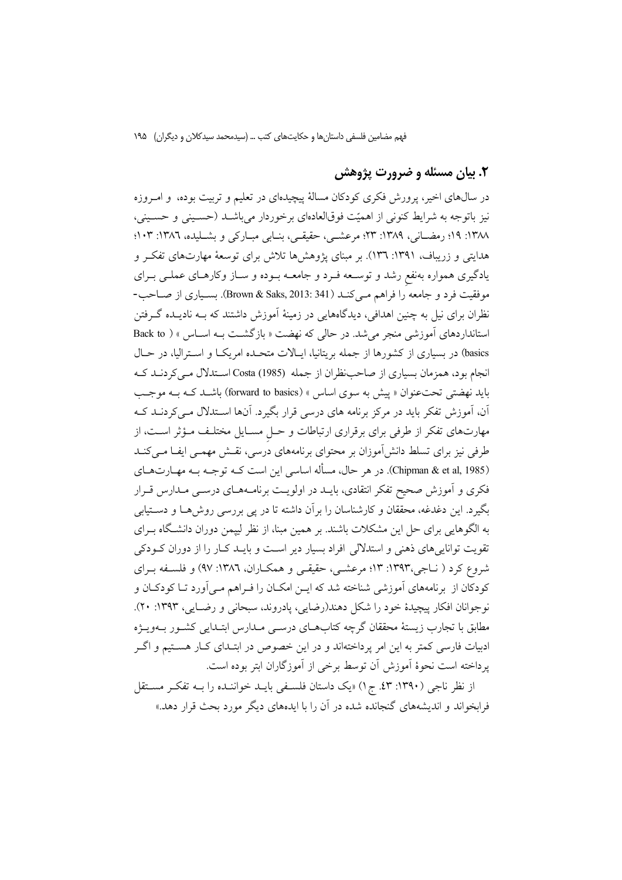### ۲. بیان مسئله و ضرورت پژوهش

در سال@ای اخیر، پرورش فکری کودکان مسالهٔ پیچیدهای در تعلیم و تربیت بوده، و امــروزه نیز باتوجه به شرایط کنونی از اهمیّت فوقالعادهای برخوردار میباشـد (حسـینی و حسـینی، ١٣٨٨: ١٩؛ رمضـاني، ١٣٨٩: ٢٣؛ مرعشـي، حقيقـي، بنـابي مبـاركي و بشــليده، ١٣٨٦: ١٠٣؛ هدایتی و زریباف، ۱۳۹۱: ۱۳۳.). بر مبنای یژوهش۵ها تلاش برای توسعهٔ مهارتهای تفک و یادگیری همواره بهنفع رشد و توسـعه فـرد و جامعـه بـوده و سـاز وکارهـای عملـی بـرای موفقيت فرد و جامعه را فراهم مـيكنـد (Brown & Saks, 2013: 341). بسـياري از صـاحب-نظران برای نیل به چنین اهدافی، دیدگاههایی در زمینهٔ آموزش داشتند که بــه نادیــده گــرفتن استانداردهای آموزشی منجر می شد. در حالی که نهضت « بازگشت بـه اسـاس » ( Back to basics) در بسیاری از کشورها از جمله بریتانیا، ایـالات متحـده امریکـا و اسـترالیا، در حـال انجام بود، همزمان بسیاری از صاحب نظران از جمله (Costa (1985) استدلال می کردنـد کـه باید نهضتی تحت عنوان « پیش به سوی اساس » (forward to basics) باشـد کــه بــه موجــب آن، آموزش تفکر باید در مرکز برنامه های درسی قرار بگیرد. آنها اسـتدلال مـیکردنــد کــه مهارتهای تفکر از طرفی برای برقراری ارتباطات و حـل مسـایل مختلـف مـؤثر اسـت، از طرفی نیز برای تسلط دانش[موزان بر محتوای برنامههای درسی، نقش مهمـی ایفـا مـیکنـد (Chipman & et al, 1985). در هر حال، مسأله اساسی این است کـه توجـه بـه مهـارتهـای فکری و آموزش صحیح تفکر انتقادی، بایــد در اولویــت برنامــههــای درســی مــدارس قــرار بگیرد. این دغدغه، محققان و کارشناسان را برآن داشته تا در پی بررسی روشها و دستیابی به الگوهایی برای حل این مشکلات باشند. بر همین مبنا، از نظر لیپمن دوران دانشگاه بـرای تقویت تواناییهای ذهنی و استدلالی افراد بسیار دیر است و بایـد کـار را از دوران کـودکی شروع کرد ( نـاجی،۱۳۹۳: ۱۳؛ مرعشـی، حقیقـی و همکـاران، ۱۳۸۲: ۹۷) و فلسـفه بـرای کودکان از برنامههای آموزشی شناخته شد که ایــن امکــان را فــراهـم مــی آورد تــا کودکــان و نو جوانان افكار پيچيدۀ خود را شكل دهند(رضايي، يادروند، سبحاني و رضــايي، ١٣٩٣: ٢٠). مطابق با تجارب زیستهٔ محققان گرچه کتابهـای درســی مــدارس ابتــدایی کشــور بــهویــژه ادبیات فارسی کمتر به این امر پرداختهاند و در این خصوص در ابتـدای کـار هسـتیم و اگــر پرداخته است نحوهٔ اَموزش اَن توسط برخی از اَموزگاران ابتر بوده است.

از نظر ناجی (۱۳۹۰: ۶۳. ج۱) «یک داستان فلسـفی بایــد خواننــده را بــه تفکــر مســتقل فرایخواند و اندیشههای گنجانده شده در آن را با ایدههای دیگر مورد بحث قرار دهد.»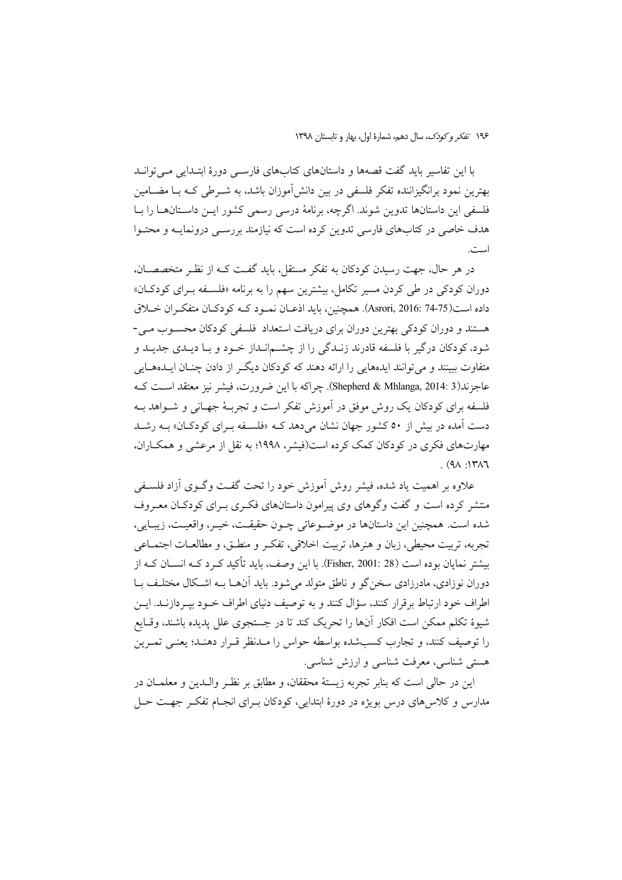با این تفاسیر باید گفت قصهها و داستانهای کتابهای فارسبی دورهٔ ابتـدایی مــی توانــد بهترین نمود برانگیزاننده تفکر فلسفی در بین دانش[موزان باشد، به شــرطی کــه بــا مضــامین فلسفی این داستانها تدوین شوند. اگرچه، برنامهٔ درسی رسمی کشور ایــن داســتانهــا را بــا هدف خاصی در کتابهای فارسی تدوین کرده است که نیازمند بررسـی درونمایـه و محتـوا است.

در هر حال، جهت رسیدن کودکان به تفکر مستقل، باید گفت کـه از نظـر متخصصــان، دوران کودکی در طی کردن مسیر تکامل، بیشترین سهم را به برنامه «فلسـفه بـرای کودکـان» داده است(75-74 Asrori, 2016: 74). همچنین، باید اذعــان نمــود کــه کودکــان متفکــران خــلاق هستند و دوران کودکی بهترین دوران برای دریافت استعداد فلسفی کودکان محسـوب مـی-شود، کودکان درگیر با فلسفه قادرند زنـدگی را از چشــمانـداز خـود و بـا ديـدي جديـد و متفاوت ببینند و میتوانند ایدههایی را ارائه دهند که کودکان دیگر از دادن چنان ایـدههـایی عاجزند(Shepherd & Mhlanga, 2014: 3). چراکه با این ضرورت، فیشر نیز معتقد اســت کــه فلسفه برای کودکان یک روش موفق در آموزش تفکر است و تجربـهٔ جهـانـی و شــواهد بــه دست آمده در بیش از ۵۰ کشور جهان نشان میدهد کـه «فلسـفه بـرای کودکـان» بـه رشـد مهارتهای فکری در کودکان کمک کرده است(فیشر، ۱۹۹۸؛ به نقل از مرعشی و همکـاران،  $(9A \cdot 14A)$ 

علاوه بر اهميت ياد شده، فيشر روش اّموزش خود را تحت گفت وگـوي اّزاد فلسـفي منتشر کرده است و گفت وگوهای وی پیرامون داستانهای فکری بـرای کودکـان معـروف شده است. همچنین این داستانها در موضوعاتی چـون حقیقـت، خیـر، واقعیـت، زیبـایی، تجربه، تربيت محيطي، زبان و هنرها، تربيت اخلاقي، تفكـر و منطـق، و مطالعــات اجتمــاعي بیشتر نمایان بوده است (Fisher, 2001: 28). با این وصف، باید تأکید کـرد کــه انســان کــه از دوران نوزادي، مادرزادي سخن گو و ناطق متولد مي شود. بايد آن هــا بــه اشــكال مختلــف بــا اطراف خود ارتباط برقرار کنند، سؤال کنند و به توصیف دنیای اطراف خــود بپــردازنــد. ایــن شیوهٔ تکلم ممکن است افکار آنها را تحریک کند تا در جستجوی علل پدیده باشند، وقـایع را توصيف كنند، و تجارب كسبشده بواسطه حواس را مـدنظر قـرار دهنـد؛ يعنـي تمـرين هستي شناسي، معرفت شناسي و ارزش شناسي.

این در حالی است که بنایر تجربه زیستهٔ محققان، و مطابق بر نظیر والبدین و معلمیان در مدارس و کلاس۵های درس بویژه در دورهٔ ابتدایی، کودکان بـرای انجـام تفکـر جهـت حـل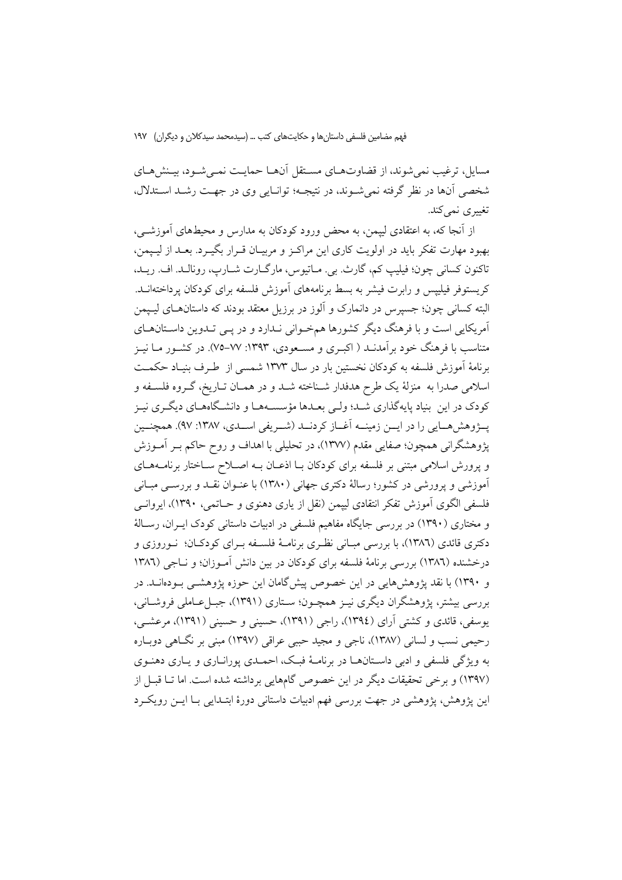مسایل، ترغیب نمی شوند، از قضاوت های مستقل آن ها حمایت نمبی شود، بینش هـای شخصي آنها در نظر گرفته نمي شـوند، در نتيجـه؛ توانـايي وي در جهـت رشـد اسـتدلال، تغییری نمی کند.

از آنجا که، به اعتقادی لیپمن، به محض ورود کودکان به مدارس و محیطهای آموزشــی، بهبود مهارت تفکر باید در اولویت کاری این مراکـز و مربیـان قـرار بگیـرد. بعـد از لیـیمن، تاكنون كساني چون؛ فيليپ كم، گارِث. بي. مـاتيوس، مارگــارت شــارپ، رونالــد. اف. ريــد، کریستوفر فیلیپس و رابرت فیشر به بسط برنامههای آموزش فلسفه برای کودکان پرداختهانــد. البته کسانی چون؛ جسیرس در دانمارک و اَلوز در برزیل معتقد بودند که داستانهـای لیـیمن آمریکایی است و با فرهنگ دیگر کشورها همخوانی نـدارد و در یـی تـدوین داسـتانهـای متناسب با فرهنگ خود بر آمدنــد ( اکبــری و مســعودی، ۱۳۹۳: ۷۷–۷۵). در کشــور مــا نيــز برنامهٔ اَموزش فلسفه به کودکان نخستین بار در سال ۱۳۷۳ شمسی از طـرف بنیـاد حکمـت اسلامی صدرا به منزلهٔ یک طرح هدفدار شـناخته شـد و در همـان تـاریخ، گـروه فلسـفه و کودک در این بنیاد پایهگذاری شـد؛ ولـی بعـدها مؤسسـههـا و دانشـگاههـای دیگـری نیـز پــژوهش،هــایی را در ایــن زمینــه آغــاز كردنــد (شــریفی اســدی، ۱۳۸۷: ۹۷). همچنــین پژوهشگرانی همچون؛ صفایی مقدم (۱۳۷۷)، در تحلیلی با اهداف و روح حاکم بـر آمـوزش و پرورش اسلامی مبتنی بر فلسفه برای کودکان بـا اذعـان بـه اصـلاح سـاختار برنامـههـای آموزشی و یرورشی در کشور؛ رسالهٔ دکتری جهانی (۱۳۸۰) با عنــوان نقــد و بررســی مبــانی فلسفی الگوی آموزش تفکر انتقادی لیپمن (نقل از یاری دهنوی و حـاتمی، ۱۳۹۰)، ایروانــی و مختاری (۱۳۹۰) در بررسی جایگاه مفاهیم فلسفی در ادبیات داستانی کودک ای ان، رسالهٔ دکتری قائدی (۱۳۸٦)، با بررسی مبـانی نظـری برنامـهٔ فلســفه بــرای کودکــان؛ نــوروزی و درخشنده (۱۳۸٦) بررسی برنامهٔ فلسفه برای کودکان در بین دانش آمـوزان؛ و نــاجی (۱۳۸٦ و ۱۳۹۰) با نقد پژوهش هایی در این خصوص پیش گامان این جوزه پژوهشبی پیودهانید. در بررسی بیشتر، پژوهشگران دیگری نیـز همچـون؛ سـتاری (۱۳۹۱)، جبـلءـاملی فروشـانی، یوسفی، قائدی و کشتی آرای (١٣٩٤)، راجی (١٣٩١)، حسینی و حسینی (١٣٩١)، مرعشــی، رحیمی نسب و لسانی (۱۳۸۷)، ناجی و مجید حببی عراقی (۱۳۹۷) مبنی بر نگاهی دوباره به ویژگی فلسفی و ادبی داستانهـا در برنامـهٔ فبـک، احمـدی پورانـاری و پــاری دهنــوی (۱۳۹۷) و برخی تحقیقات دیگر در این خصوص گامهایی برداشته شده است. اما تــا قبــل از این پژوهش، پژوهشی در جهت بررسی فهم ادبیات داستانی دورهٔ ابتـدایی بـا ایــن رویکـرد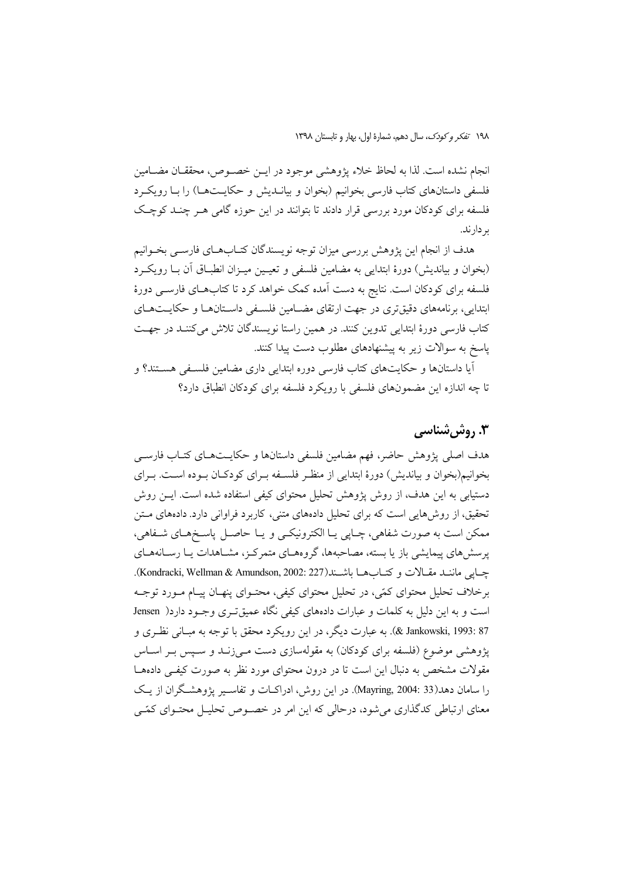١٩٨ تفكر وكودك، سال دهم، شمارة اول، بهار و تابستان ١٣٩٨

انجام نشده است. لذا به لحاظ خلاء يژوهشي موجود در ايــن خصــوص، محققــان مضــامين فلسفی داستانهای کتاب فارسی بخوانیم (بخوان و بیانــدیش و حکایــتهــا) را بــا رویکــرد فلسفه برای کودکان مورد بررسی قرار دادند تا بتوانند در این حوزه گامی هـر چنــد کوچـک بر دارند.

هدف از انجام این پژوهش بررسی میزان توجه نویسندگان کتــابهــای فارســی بخــوانیم (بخوان و بیاندیش) دورهٔ ابتدایی به مضامین فلسفی و تعیـین میـزان انطبـاق آن بـا رویکـرد فلسفه برای کودکان است. نتایج به دست آمده کمک خواهد کرد تا کتابهـای فارســی دورهٔ ابتدایی، برنامههای دقیقتری در جهت ارتقای مضـامین فلسـفی داسـتانهـا و حکایـتهـای كتاب فارسى دورهٔ ابتدايي تدوين كنند. در همين راستا نويسندگان تلاش مى كننـد در جهـت یاسخ به سوالات زیر به پیشنهادهای مطلوب دست پیدا کنند.

اّیا داستانها و حکایتهای کتاب فارسی دوره ابتدایی داری مضامین فلسـفی هسـتند؟ و تا چه اندازه این مضمونهای فلسفی با رویکرد فلسفه برای کودکان انطباق دارد؟

# **۳. روش شناسی**

هدف اصلی پژوهش حاضر، فهم مضامین فلسفی داستانها و حکایـتهـای کتـاب فارســی بخوانیم(بخوان و بیاندیش) دورهٔ ابتدایی از منظر فلسـفه بـرای کودکـان بـوده اسـت. بـرای دستیابی به این هدف، از روش پژوهش تحلیل محتوای کیفی استفاده شده است. ایــن روش تحقیق، از روش۵مایی است که برای تحلیل دادههای متنی، کاربرد فراوانی دارد. دادههای مـتن ممکن است به صورت شفاهي، چـايي يــا الکترونيکــي و يــا حاصــل پاسـخهــاي شــفاهي، پرسشهای پیمایشی باز یا بسته، مصاحبهها، گروههـای متمرکـز، مشـاهدات یـا رسـانههـای چايى ماننىد مقىالات وكتاب هـا باشـند(Kondracki, Wellman & Amundson, 2002: 227). برخلاف تحلیل محتوای کمّی، در تحلیل محتوای کیفی، محتـوای پنهـان پیـام مـورد توجـه است و به این دلیل به کلمات و عبارات دادههای کیفی نگاه عمیقتری وجـود دارد( Jensen 87 :393 .X Jankowski, 1993). به عبارت دیگر، در این رویکرد محقق با توجه به مبـانی نظـری و یژوهشی موضوع (فلسفه برای کودکان) به مقولهسازی دست مـی زنــد و سـیس بـر اســاس مقولات مشخص به دنبال این است تا در درون محتوای مورد نظر به صورت کیفے دادههـا را سامان دهد(33 :Mayring, 2004). در این روش، ادراکـات و تفاسـیر پژوهشـگران از یـک معنای ارتباطی کدگذاری می شود، درحالی که این امر در خصوص تحلیـل محتـوای کمّـی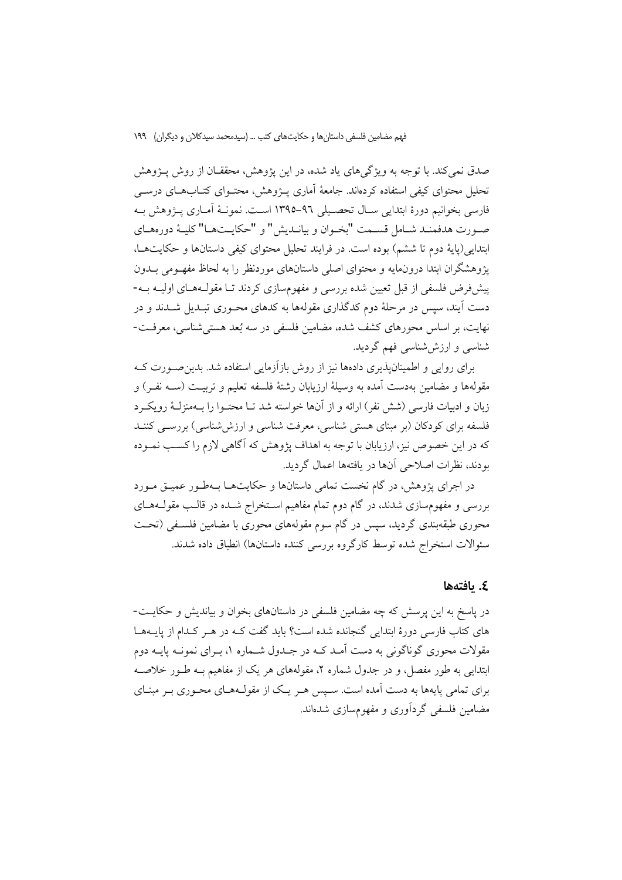صدق نمی کند. با توجه به ویژگی های یاد شده، در این پژوهش، محققـان از روش پـژوهش تحلیل محتوای کیفی استفاده کردهاند. جامعهٔ آماری پـژوهش، محتـوای کتـابهـای درســی فارسی بخوانیم دورهٔ ابتدایی سـال تحصـیلی ۹٦-١٣٩٥ اسـت. نمونـهٔ آمـاری پـژوهش بـه صورت هدفمنـد شـامل قسـمت "بخـوان و بيانـديش" و "حكايـتهـا" كليـهٔ دورههـاي ابتدایی(پایهٔ دوم تا ششم) بوده است. در فرایند تحلیل محتوای کیفی داستانها و حکایتها، پژوهشگران ابتدا درونمایه و محتوای اصلی داستانهای موردنظر را به لحاظ مفهـومی بــدون پیشفروض فلسفی از قبل تعیین شده بررسی و مفهومسازی کردند تـا مقولـههـای اولیـه بـه-دست آیند، سپس در مرحلهٔ دوم کدگذاری مقولهها به کدهای محـوری تبـدیل شــدند و در نهایت، بر اساس محورهای کشف شده، مضامین فلسفی در سه بُعد هستی شناسی، معرفت-شناسی و ارزششناسی فهم گردید.

برای روایی و اطمینان پذیری دادهها نیز از روش بازآزمایی استفاده شد. بدین صـورت کــه مقولهها و مضامین بهدست آمده به وسیلهٔ ارزیابان رشتهٔ فلسفه تعلیم و تربیـت (ســه نفــر) و زبان و ادبیات فارسی (شش نفر) ارائه و از آنها خواسته شد تـا محتـوا را بـهمنزلـهٔ رویکـرد فلسفه برای کودکان (بر مبنای هستی شناسی، معرفت شناسی و ارزششناسی) بررســی کننــد که در این خصوص نیز، ارزیابان با توجه به اهداف پژوهش که آگاهی لازم را کسب نمــوده بودند، نظرات اصلاحی آنها در یافتهها اعمال گردید.

در اجرای پژوهش، در گام نخست تمامی داستانها و حکایتهـا بـهطـور عمیـق مـورد بررسی و مفهومسازی شدند. در گام دوم تمام مفاهیم اسـتخراج شــده در قالـب مقولــههــای محوری طبقهبندی گردید، سپس در گام سوم مقولههای محوری با مضامین فلسـفی (تحـت سئوالات استخراج شده توسط كارگروه بررسی كننده داستانها) انطباق داده شدند.

### ٤. يافتەھا

در پاسخ به این پرسش که چه مضامین فلسفی در داستانهای بخوان و بیاندیش و حکایـت-های کتاب فارسی دورهٔ ابتدایی گنجانده شده است؟ باید گفت کـه در هـر کـدام از پایــههــا مقولات محوري گوناگوني به دست آمـد کــه در جــدول شــماره ۱، بــراي نمونــه پايــه دوم ابتدایی به طور مفصل، و در جدول شماره ۲، مقولههای هر یک از مفاهیم بـه طـور خلاصـه برای تمامی پایهها به دست آمده است. سـیس هـر یـک از مقولـههـای محـوری بـر مبنـای مضامین فلسفی گردآوری و مفهومسازی شدهاند.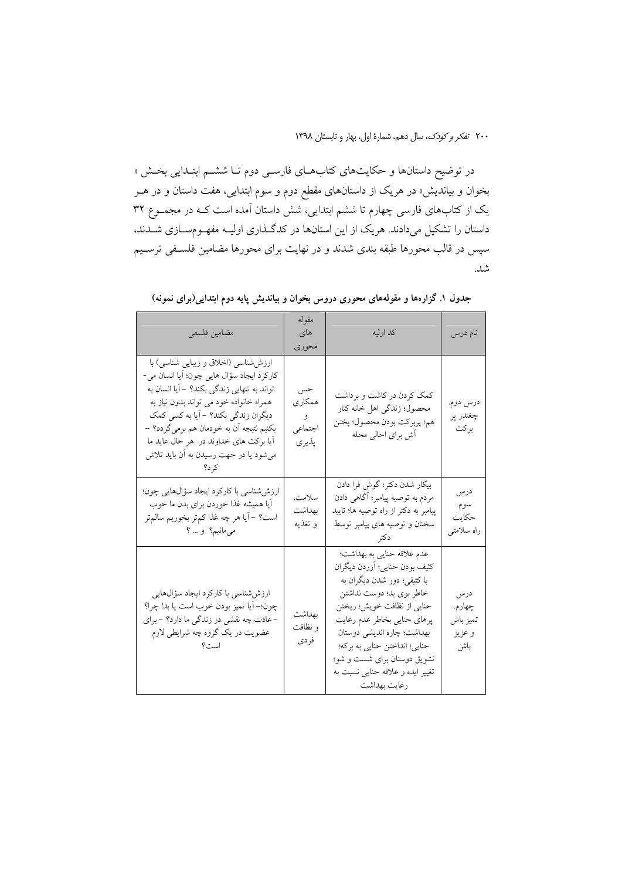در توضیح داستانها و حکایتهای کتابهـای فارسـی دوم تـا ششـم ابتـدایی بخـش « بخوان و بیاندیش» در هریک از داستانهای مقطع دوم و سوم ابتدایی، هفت داستان و در هــر یک از کتابهای فارسی چهارم تا ششم ابتدایی، شش داستان آمده است کـه در مجمـوع ۳۲ داستان را تشکیل میدادند. هریک از این استانها در کدگـذاری اولیـه مفهـومســازی شــدند، سپس در قالب محورها طبقه بندی شدند و در نهایت برای محورها مضامین فلسـفی ترسـیم شد.

| مضامين فلسفى                                                                                                                                                                                                                                                                                                                                          | مقوله<br>های<br>محوري                  | كد اوليه                                                                                                                                                                                                                                                                                                                              | نام درس                                    |
|-------------------------------------------------------------------------------------------------------------------------------------------------------------------------------------------------------------------------------------------------------------------------------------------------------------------------------------------------------|----------------------------------------|---------------------------------------------------------------------------------------------------------------------------------------------------------------------------------------------------------------------------------------------------------------------------------------------------------------------------------------|--------------------------------------------|
| ارزششساسی (اخلاق و زیبایی شناسی) با<br>كاركرد ايجاد سؤال هايي چون؛ أيا انسان مي-<br>تواند به تنهایی زندگی بکند؟ –آیا انسان به<br>همراه خانواده خود می تواند بدون نیاز به<br>دیگران زندگی بکند؟ -أیا به کسی کمک<br>بکنیم نتیجه أن به خودمان هم برمیگردد؟ –<br>أيا بركت هاي خداوند در ًهر حال عايد ما<br>میشود یا در جهت رسیدن به آن باید تلاش<br>کر د؟ | حس<br>همکار ی<br>و<br>اجتماعي<br>پذيري | کمک کردن در کاشت و برداشت<br>محصول؛ زندگی اهل خانه کنار<br>هم؛ پربركت بودن محصول؛ پختن<br>أش براي احالي محله                                                                                                                                                                                                                          | درس دوم.<br>چغندر پر<br>بركت               |
| ارزششاسی با کارکرد ایجاد سؤالهایی چون؛<br>أيا هميشه غذا خوردن براي بدن ما خوب<br>است؟ – أيا هر چه غذا كم تر بخوريم سالم تر<br>میمانیم؟ و … ؟                                                                                                                                                                                                          | سلامت،<br>بهداشت<br>و تغذيه            | بيكار شدن دكتر؛ گوش فرا دادن<br>مردم به توصیه پیامبر؛ آگاهی دادن<br>پیامبر به دکتر از راه توصیه ها؛ تایید<br>سخنان و توصیه های پیامبر توسط<br>د کتر                                                                                                                                                                                   | درس<br>سوم.<br>حكايت<br>راه سلامتی         |
| ارزششناسی با کارکرد ایجاد سؤالهایی<br>چون؛– أيا تميز بودن خوب است يا بد! چرا؟<br>–عادت چه نقشی در زندگی ما دارد؟ – برای<br>عضویت در یک گروه چه شرایطی لازم                                                                                                                                                                                            | بهداشت<br>و نظافت<br>فردي              | عدم علاقه حنايي به بهداشت؛<br>كثيف بودن حنايي؛ أزردن ديگران<br>با کثیفی؛ دور شدن دیگران به<br>خاطر بوی بد؛ دوست نداشتن<br>حنايي از نظافت خويش؛ ريختن<br>پرهاي حنايي بخاطر عدم رعايت<br>بهداشت؛ چاره اندیشی دوستان<br>حنايي؛ انداختن حنايي به بركه؛<br>تشویق دوستان برای شست و شو؛<br>تغییر ایده و علاقه حنایی نسبت به<br>رعايت بهداشت | درس<br>چهارم.<br>تميز باش<br>و عزيز<br>باش |

جدول ۱. گزارهها و مقولههای محوری دروس بخوان و بیاندیش پایه دوم ابتدایی(برای نمونه)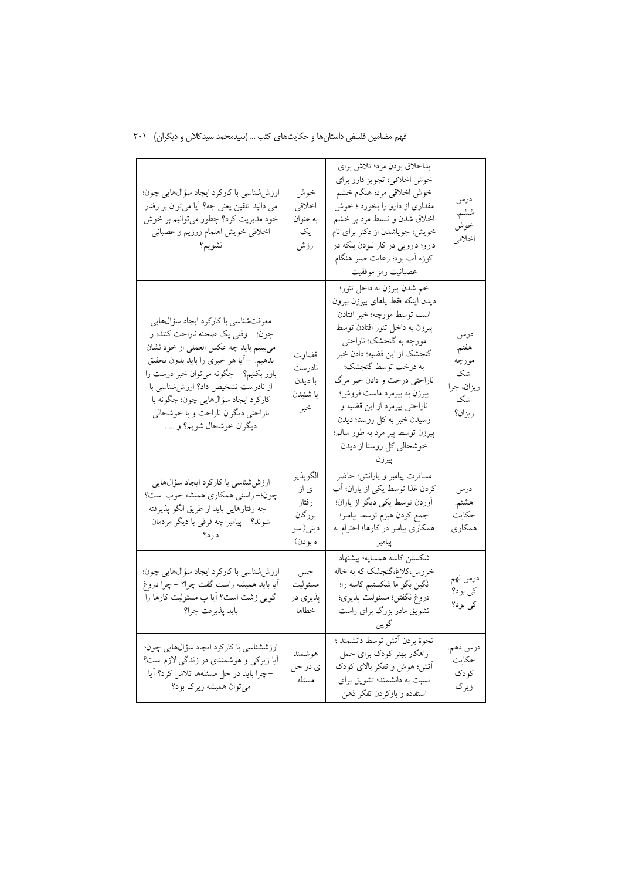|  |  |  | فهم مضامین فلسفی داستانها و حکایتهای کتب … (سیدمحمد سیدکلان و دیگران) ۲۰۱ |  |  |  |  |  |  |
|--|--|--|---------------------------------------------------------------------------|--|--|--|--|--|--|
|--|--|--|---------------------------------------------------------------------------|--|--|--|--|--|--|

| ارزششناسی با کارکرد ایجاد سؤالهایی چون؛<br>می دانید تلقین یعنی چه؟ اَیا میتوان بر رفتار<br>خود مديريت كرد؟ چطور مي توانيم بر خوش<br>اخلاقى خويش اهتمام ورزيم و عصبانى<br>نشويم؟                                                                                                                                                                       | خوش<br>اخلاقي<br>به عنوان<br>یک<br>ارزش                    | بداخلاق بودن مرد؛ تلاش براي<br>خوش اخلاقي؛ تجويز دارو براي<br>خوش اخلاقي مرد؛ هنگام خشم<br>مقداری از دارو را بخورد ؛ خوش<br>اخلاق شدن و تسلط مرد بر خشم<br>خویش؛ جویاشدن از دکتر برای نام<br>دارو؛ دارویی در کار نبودن بلکه در<br>كوزه أب بود؛ رعايت صبر هنگام<br>عصبانيت رمز موفقيت                                                                                                                                | درس<br>ششم.<br>خوش<br>اخلاقي                                |
|-------------------------------------------------------------------------------------------------------------------------------------------------------------------------------------------------------------------------------------------------------------------------------------------------------------------------------------------------------|------------------------------------------------------------|---------------------------------------------------------------------------------------------------------------------------------------------------------------------------------------------------------------------------------------------------------------------------------------------------------------------------------------------------------------------------------------------------------------------|-------------------------------------------------------------|
| معرفتشناسي با كاركرد ايجاد سؤالهايي<br>چون؛ –وقتی یک صحنه ناراحت کننده را<br>مىبينيم بايد چه عكس العملى از خود نشان<br>بدهيم. —أيا هر خبري را بايد بدون تحقيق<br>باور بکنیم؟ –چگونه میتوان خبر درست را<br>از نادرست تشخیص داد؟ ارزششناسی با<br>كاركرد ايجاد سؤالهايي چون؛ چگونه با<br>ناراحتی دیگران ناراحت و با خوشحالی<br>ديگران خوشحال شويم؟ و … . | قضاوت<br>نادرست<br>با ديدن<br>يا شنيدن<br>خبر              | خم شدن پیرزن به داخل تنور؛<br>ديدن اينكه فقط پاهاى پيرزن بيرون<br>است توسط مورچه؛ خبر افتادن<br>پیرزن به داخل تنور افتادن توسط<br>مورچه به گنجشک؛ ناراحتی<br>گنجشک از این قضیه؛ دادن خبر<br>به درخت توسط گنجشک؛<br>ناراحتی درخت و دادن خبر مرگ<br>پیرزن به پیرمرد ماست فروش؛<br>ناراحتي پيرمرد از اين قضيه و<br>رسیدن خبر به کل روستا؛ دیدن<br>پیرزن توسط پیر مرد به طور سالم؛<br>خوشحالی کل روستا از دیدن<br>ييرزن | درس<br>هفتم.<br>مورچه<br>اشک<br>ريزان، چرا<br>اشک<br>ريزان؟ |
| ارزششاسی با کارکرد ایجاد سؤالهایی<br>چون؛- راستي همكاري هميشه خوب است؟<br>– چه رفتارهایی باید از طریق الگو پذیرفته<br>شوند؟ –پیامبر چه فرقی با دیگر مردمان<br>دار د؟                                                                                                                                                                                  | الگوپذير<br>ی از<br>رفتار<br>بزرگان<br>ديني(اسو<br>ه بودن) | مسافرت پیامبر و یارانش؛ حاضر<br>كردن غذا توسط يكي از ياران؛ أب<br>آوردن توسط یکی دیگر از یاران؛<br>جمع كردن هيزم توسط پيامبر؛<br>همکاری پیامبر در کارها؛ احترام به<br>پیامبر                                                                                                                                                                                                                                        | درس<br>هشتم.<br>حكايت<br>همکار ی                            |
| ارزششناسی با کارکرد ایجاد سؤالهایی چون؛<br>اَیا باید همیشه راست گفت چرا؟ –چرا دروغ<br>گویی زشت است؟ اَیا ب مسئولیت کارها را<br>بايد پذيرفت چرا؟                                                                                                                                                                                                       | حس<br>مسئوليت<br>پذيري در<br>خطاها                         | شكستن كاسه همسايه؛ پيشنهاد<br>خروس،کلاغ،گنجشک که به خاله<br>نگین بگو ما شکستیم کاسه را؛<br>دروغ نگفتن؛ مسئوليت پذيري؛<br>تشویق مادر بزرگ برای راست                                                                                                                                                                                                                                                                  | درس نهم.<br>کی بود؟<br>کې بود؟                              |
| ارزششناسی با کارکرد ایجاد سؤالهایی چون؛<br>اًيا زيركي و هوشمندي در زندگي لازم است؟<br>- چرا باید در حل مسئلهها تلاش کرد؟ آیا<br>میتوان همیشه زیرک بود؟                                                                                                                                                                                                | هوشمند<br>ي در حل<br>مسئله                                 | نحوة بردن أتش توسط دانشمند ؛<br>راهکار بهتر کودک برای حمل<br>آتش؛ هوش و تفکر بالای کودک<br>نسبت به دانشمند؛ تشویق برای<br>استفاده و بازكردن تفكر ذهن                                                                                                                                                                                                                                                                | درس دهم.<br>حكايت<br>كودك<br>زيرک                           |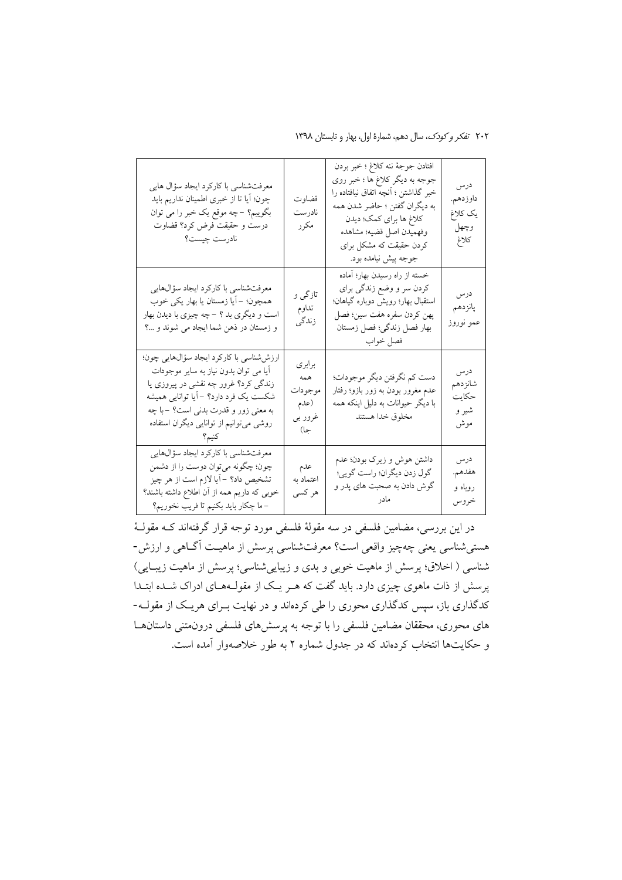۲۰۲ تفکر و کودک، سال دهم، شمارهٔ اول، بهار و تابستان ۱۳۹۸

| معرفتشناسی با کارکرد ایجاد سؤال هایی<br>چون؛ أيا تا از خبرى اطمينان نداريم بايد<br>بگوییم؟ –چه موقع یک خبر را می توان<br>درست و حقیقت فرض کرد؟ قضاوت<br>نادرست چیست؟                                                                                 | قضاوت<br>نادرست<br>مكرر                            | افتادن جوجهٔ ننه کلاغ ؛ خبر بردن<br>جوجه به دیگر کلاغ ها ؛ خبر روی<br>خبر گذاشتن ؛ أنچه اتفاق نیافتاده را<br>به ديگران گفتن ؛ حاضر شدن همه<br>كلاغ ها براي كمك؛ ديدن<br>وفهميدن اصل قضيه؛ مشاهده<br>کردن حقیقت که مشکل برای<br>جوجه پیش نیامده بود. | درس<br>داوزدهم.<br>یک کلاغ<br>وچهل<br>كلاغ |
|------------------------------------------------------------------------------------------------------------------------------------------------------------------------------------------------------------------------------------------------------|----------------------------------------------------|-----------------------------------------------------------------------------------------------------------------------------------------------------------------------------------------------------------------------------------------------------|--------------------------------------------|
| معرفتشناسي با كاركرد ايجاد سؤالهايي<br>همچون؛ -أيا زمستان يا بهار يكي خوب<br>است و دیگری بد ؟ – چه چیزی با دیدن بهار<br>و زمستان در ذهن شما ايجاد مي شوند و ؟                                                                                        | تازگی و<br>تداوم<br>زندگی                          | خسته از راه رسیدن بهار؛ أماده<br>کردن سر و وضع زندگی برای<br>استقبال بهار؛ رويش دوباره گياهان؛<br>پهن كردن سفره هفت سين؛ فصل<br>بهار فصل زندگي؛ فصل زمستان<br>فصل خواب                                                                              | درس<br>پانزدهم<br>عمو نوروز                |
| ارزششناسی با کارکرد ایجاد سؤالهایی چون؛<br>آیا می توان بدون نیاز به سایر موجودات<br>زندگی کرد؟ غرور چه نقشی در پیروزی یا<br>شکست یک فرد دارد؟ – اَیا توانایی همیشه<br>به معنی زور و قدرت بدنی است؟ –با چه<br>روشی میتوانیم از توانایی دیگران استفاده | برابرى<br>همه<br>موجودات<br>(عدم<br>غرور بي<br>جا) | دست کم نگرفتن دیگر موجودات؛<br>عدم مغرور بودن به زور بازو؛ رفتار<br>با دیگر حیوانات به دلیل اینکه همه<br>مخلوق خدا هستند                                                                                                                            | درس<br>شانزدهم<br>حكايت<br>شیر و<br>موش    |
| معرفتشناسي با كاركرد ايجاد سؤالهايي<br>چون؛ چگونه ميتوان دوست را از دشمن<br>تشخیص داد؟ -أیا لازم است از هر چیز<br>خوبی که داریم همه از آن اطلاع داشته باشند؟<br>-ما چكار بايد بكنيم تا فريب نخوريم؟                                                  | عدم<br>اعتماد به<br>هر کسی                         | داشتن هوش و زیرک بودن؛ عدم<br>گول زدن دیگران؛ راست گویی؛<br>گوش دادن به صحبت های پدر و<br>مادر                                                                                                                                                      | درس<br>هفدهم.<br>روباه و<br>خروس           |

در این بررسی، مضامین فلسفی در سه مقولهٔ فلسفی مورد توجه قرار گرفتهاند کـه مقولـهٔ هستی شناسی یعنی چهچیز واقعی است؟ معرفتشناسی پرسش از ماهیـت آگـاهی و ارزش-شناسی ( اخلاق؛ پرسش از ماهیت خوبی و بدی و زیبایی شناسی؛ پرسش از ماهیت زیبایی) پرسش از ذات ماهوی چیزی دارد. باید گفت که هـر یـک از مقولــههــای ادراک شــده ابتــدا کدگذاری باز، سپس کدگذاری محوری را طی کردهاند و در نهایت بـرای هریـک از مقولــه-های محوری، محققان مضامین فلسفی را با توجه به پرسشهای فلسفی درونمتنی داستانها و حکایتها انتخاب کردهاند که در جدول شماره ۲ به طور خلاصهوار آمده است.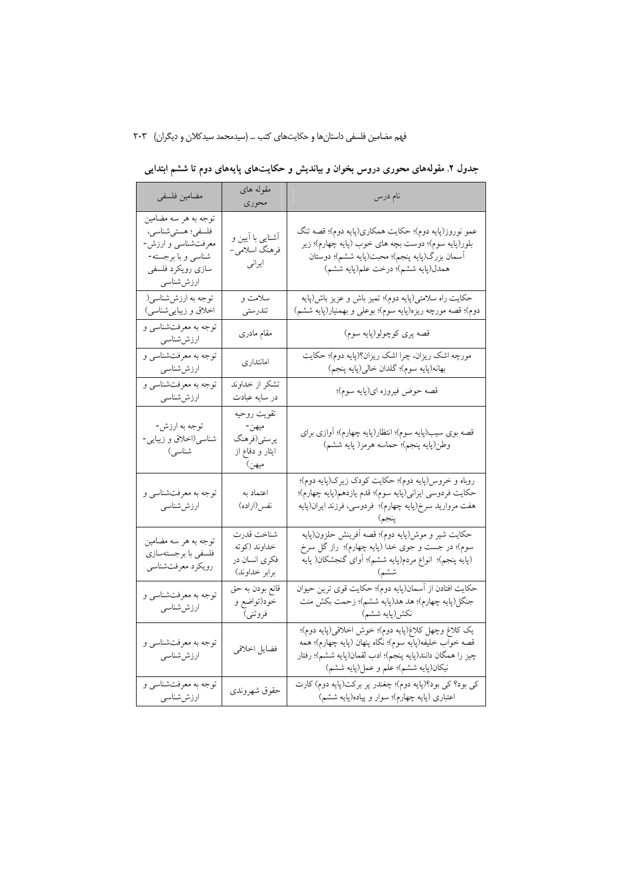|  |  |  | جدول ۲. مقولههای محوری دروس بخوان و بیاندیش و حکایتهای پایههای دوم تا ششم ابتدایی |  |
|--|--|--|-----------------------------------------------------------------------------------|--|
|  |  |  |                                                                                   |  |

| مضامين فلسفى                                                                                                             | مقوله های<br>محوري                                              | نام درس                                                                                                                                                                                                                                                                                                                                                                                           |
|--------------------------------------------------------------------------------------------------------------------------|-----------------------------------------------------------------|---------------------------------------------------------------------------------------------------------------------------------------------------------------------------------------------------------------------------------------------------------------------------------------------------------------------------------------------------------------------------------------------------|
| توجه به هر سه مضامین<br>فلسفى؛ هستى شناسى،<br>معرفتشناسی و ارزش-<br>شناسی و با برجسته-<br>سازي رويكرد فلسفى<br>ارزششناسى | آشنایی با آیین و<br>فرهنگ اسلامی–<br>ايراني                     | عمو نوروز(پايه دوم)؛ حکايت همکاري(پايه دوم)؛ قصه تنگ<br>بلور(پايه سوم)؛ دوست بچه هاي خوب (پايه چهارم)؛ زير<br>أسمان بزرگ(پايه پنجم)؛ محبت(پايه ششم)؛ دوستان<br>همدل(پایه ششم)؛ درخت علم(پایه ششم)                                                                                                                                                                                                 |
| توجه به ارزشششناسی(<br>اخلاق و زیباییشناسی)                                                                              | سلامت و<br>تندرستى                                              | حکایت راه سلامتی(پایه دوم)؛ تمیز باش و عزیز باش(پایه<br>دوم)؛ قصه مورچه ریزه(پایه سوم)؛ بوعلی و بهمنیار(پایه ششم)                                                                                                                                                                                                                                                                                 |
| توجه به معرفتشناسي و<br>ارزششناسی                                                                                        | مقام مادرى                                                      | قصه پري كوچولو(پايه سوم)                                                                                                                                                                                                                                                                                                                                                                          |
| توجه به معرفتشناسي و<br>ارزششناسی                                                                                        | امانتدارى                                                       | مورچه اشک ریزان، چرا اشک ریزان؟(پایه دوم)؛ حکایت<br>بهانه(پایه سوم)؛ گلدان خالی(پایه پنجم)                                                                                                                                                                                                                                                                                                        |
| توجه به معرفتشناسي و<br>ارزششناسی                                                                                        | تشكر از خداوند<br>در سايه عبادت                                 | قصه حوض فيروزه اي(پايه سوم)؛                                                                                                                                                                                                                                                                                                                                                                      |
| توجه به ارزش-<br>شناسی(اخلاق و زیبایی-<br>شناسی)                                                                         | تقويت روحيه<br>ميهن-<br>پرستي(فرهنگ<br>ایثار و دفاع از<br>ميھن) | قصه بوی سیب(پایه سوم)؛ انتظار(پایه چهارم)؛ آوازی برای<br>وطن(پايه پنجم)؛ حماسه هرمز( پايه ششم)                                                                                                                                                                                                                                                                                                    |
| توجه به معرفتشناسی و<br>ارزششسے                                                                                          | اعتماد به<br>نفس(اراده)                                         | روباه و خروس(پايه دوم)؛ حكايت كودك زيرك(پايه دوم)؛<br>حكايت فردوسي ايراني(پايه سوم)؛ قدم يازدهم(پايه چهارم)؛<br>هفت مرواريد سرخ(پايه چهارم)؛ فردوسي، فرزند ايران(پايه<br>ينجم) المستحدث المستحدث                                                                                                                                                                                                  |
| توجه به هر سه مضامین<br>فلسفى با برجستهسازي<br>رويكرد معرفتشناسي                                                         | شناخت قدرت<br>خداوند (كوته<br>فکری انسان در<br>برابر خداوند)    | حكايت شير و موش(پايه دوم)؛ قصه آفرينش حلزون(پايه<br>سوم)؛ در جست و جوی خدا (پایه چهارم)؛  راز گل سرخ<br>(پایه پنجم)؛ انواع مردم(پایه ششم)؛ أوای گنجشکان( پایه<br>المستقبل المستقبل المستقبل المستقبل المستقبل المستقبل المستقبل المستقبل المستقبل المستقبل المستقبل المستقبل ال<br>والمستقبل المستقبل المستقبل المستقبل المستقبل المستقبل المستقبل المستقبل المستقبل المستقبل المستقبل المستقبل ا |
| توجه به معرفتشناسي و<br>ارزششناسی                                                                                        | قانع بودن به حق<br>خود(تواضع و<br>فروتني)                       | حکایت افتادن از آسمان(پایه دوم)؛ حکایت قوی ترین حیوان<br>جنگل(پایه چهارم)؛ هد هد(پایه ششم)؛ زحمت بکش منت                                                                                                                                                                                                                                                                                          |
| توجه به معرفتشناسی و<br>ارزششناسی                                                                                        | فضايل اخلاقي                                                    | يک کلاغ وچهل کلاغ(پايه دوم)؛ خوش اخلاقى(پايه دوم)؛<br>قصه خواب خليفه(پايه سوم)؛ نگاه پنهان (پايه چهارم)؛ همه<br>چيز را همگان دانند(پايه پنجم)؛ ادب لقمان(پايه ششم)؛ رفتار<br>نيكان(پايه ششم)؛ علم و عمل(پايه ششم)                                                                                                                                                                                 |
| توجه به معرفتشناسي و<br>ارزششناسی                                                                                        | حقوق شهروندي                                                    | کې بود؟ کې بود؟(پايه دوم)؛ چغندر پر برکت(پايه دوم) کارت<br>اعتباری (پایه چهارم)؛ سوار و پیاده(پایه ششم)                                                                                                                                                                                                                                                                                           |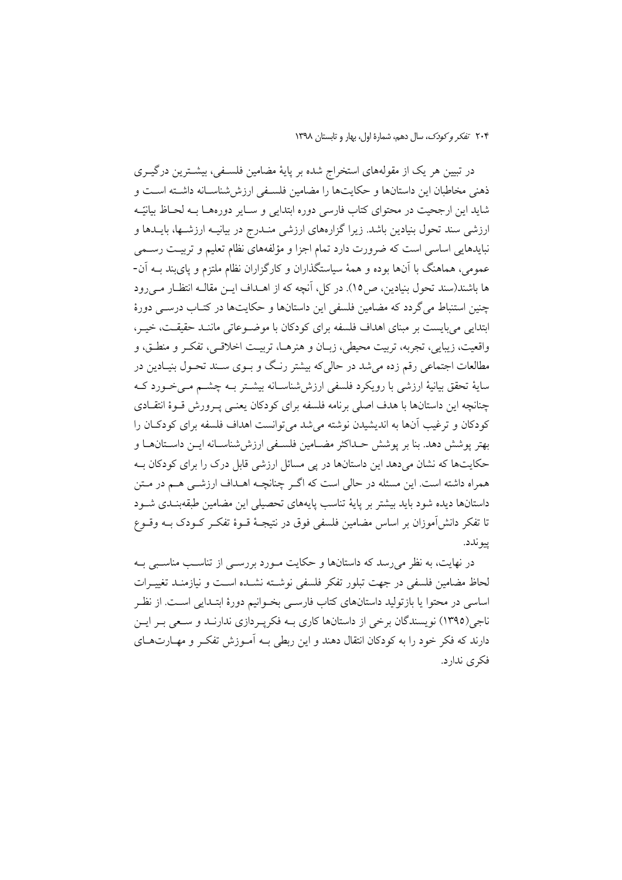۲۰۴ تفكر وكودك، سال دهم، شمارة اول، بهار و تابستان ١٣٩٨

در تبیین هر یک از مقولههای استخراج شده بر پایهٔ مضامین فلسـفی، بیشـترین درگیـری ذهني مخاطبان اين داستانها و حكايتها را مضامين فلسـفي ارزششناسـانه داشـته اسـت و شاید این ارجحیت در محتوای کتاب فارسی دوره ابتدایی و ســایر دورههــا بــه لحــاظ بیانیّــه ارزشی سند تحول بنیادین باشد. زیرا گزارههای ارزشی منـدرج در بیانیــه ارزشــها، بایــدها و نبایدهایی اساسی است که ضرورت دارد تمام اجزا و مؤلفههای نظام تعلیم و تربیت رسـمی عمومی، هماهنگ با آنها بوده و همهٔ سیاستگذاران و کارگزاران نظام ملتزم و پایبند بـه آن-ها باشند(سند تحول بنیادین، ص١٥). در كل، آنچه كه از اهـداف ايــن مقالــه انتظــار مــي رود چنین استنباط می گردد که مضامین فلسفی این داستانها و حکایتها در کتـاب درسـبی دورهٔ ابتدایی می بایست بر مبنای اهداف فلسفه برای کودکان با موضـوعاتی ماننـد حقیقـت، خیـر، واقعیت، زیبایی، تجربه، تربیت محیطی، زبـان و هنرهـا، تربیـت اخلاقـی، تفکـر و منطـق، و مطالعات اجتماعی رقم زده می شد در حالی که بیشتر رنگ و بـوی سـند تحـول بنیـادین در سايهٔ تحقق بيانيهٔ ارزشي با رويکرد فلسفي ارزش شناسـانه بيشــتر بــه چشــم مــي خــورد کــه چنانچه این داستانها با هدف اصلی برنامه فلسفه برای کودکان یعنبی پـرورش قـوهٔ انتقـادی کودکان و ترغیب آنها به اندیشیدن نوشته می شد می توانست اهداف فلسفه برای کودکـان را بهتر يوشش دهد. بنا بر يوشش حـداكثر مضــامين فلســفي ارزش@شناســانه ايــن داســتان١عــا و حکایتها که نشان میدهد این داستانها در یی مسائل ارزشی قابل درک را برای کودکان بـه همراه داشته است. این مسئله در حالی است که اگـر چنانچــه اهــداف ارزشــی هــم در مــتن داستانها دیده شود باید بیشتر بر پایهٔ تناسب پایههای تحصیلی این مضامین طبقهبنـدی شـود تا تفکر دانش[موزان بر اساس مضامین فلسفی فوق در نتیجـهٔ قــوهٔ تفکــر کــودک بــه وقــوع پيو ندد.

در نهایت، به نظر می رسد که داستانها و حکایت مـورد بررســی از تناسـب مناسـبی بـه لحاظ مضامین فلسفی در جهت تبلور تفکر فلسفی نوشـته نشـده اسـت و نیازمنـد تغییـرات اساسی در محتوا یا بازتولید داستانهای کتاب فارسـی بخـوانیم دورهٔ ابتـدایی اسـت. از نظـر ناجی(۱۳۹۵) نویسندگان برخی از داستانها کاری بـه فکرپـردازی ندارنــد و سـعی بــر ایــن دارند که فکر خود را به کودکان انتقال دهند و این ربطی بـه آمـوزش تفکـر و مهـارتهـای فکری ندارد.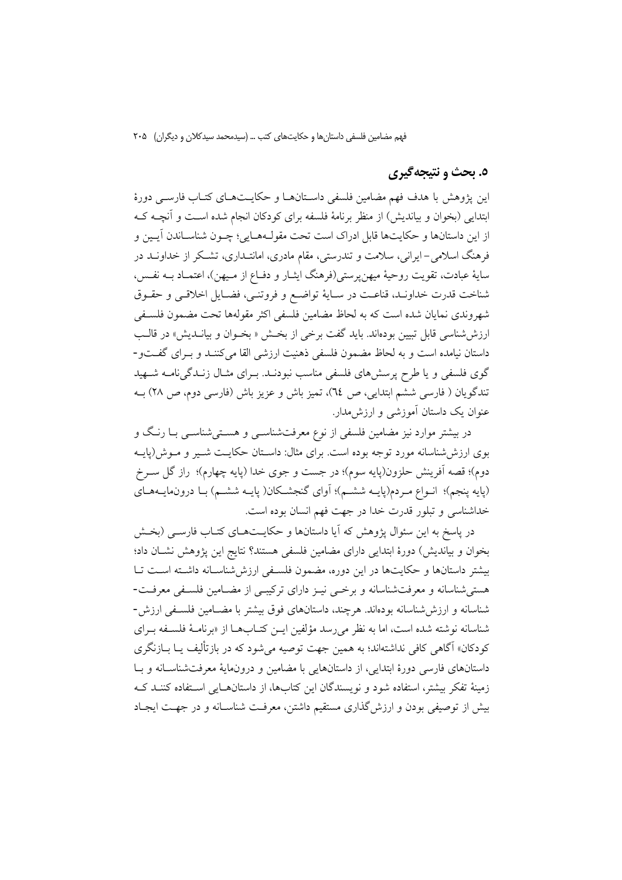### ٥. بحث و نتيجهگيري

این یژوهش با هدف فهم مضامین فلسفی داستانها و حکایـتهـای کتـاب فارسـی دورهٔ ابتدایی (بخوان و بیاندیش) از منظر برنامهٔ فلسفه برای کودکان انجام شده است و آنچـه کـه از این داستانها و حکایتها قابل ادراک است تحت مقولـههـایی؛ چـون شناسـاندن اَیـین و فرهنگ اسلامی-ایرانی، سلامت و تندرستی، مقام مادری، امانتـداری، تشـکر از خداونــد در سايهٔ عبادت، تقويت روحيهٔ ميهنپرستي(فرهنگ ايشار و دفـاع از مـيهن)، اعتمـاد بــه نفـس، شناخت قدرت خداونـد، قناعـت در سـايهٔ تواضـع و فروتنـي، فضـايل اخلاقـي و حقـوق شهروندي نمايان شده است كه به لحاظ مضامين فلسفى اكثر مقولهها تحت مضمون فلسـفى ارزشششناسی قابل تبیین بودهاند. باید گفت برخی از بخش « بخـوان و بیانــدیش» در قالـب داستان نیامده است و به لحاظ مضمون فلسفی ذهنیت ارزشی القا می کننـد و بـرای گفـتو-گوی فلسفی و یا طرح پرسشهای فلسفی مناسب نبودنـد. بـرای مثـال زنـدگی نامـه شـهید تندگویان ( فارسی ششم ابتدایی، ص ٢٤)، تمیز باش و عزیز باش (فارسی دوم، ص ٢٨) بـه عنوان یک داستان آموزشی و ارزش مدار.

در بیشتر موارد نیز مضامین فلسفی از نوع معرفتشناســی و هســتیشناســی بــا رنــگ و بوی ارزش شناسانه مورد توجه بوده است. برای مثال: داسـتان حکایــت شــیر و مــوش(یایــه دوم)؛ قصه اَفرینش حلزون(پایه سوم)؛ در جست و جوی خدا (پایه چهارم)؛ راز گل ســرخ (پایه پنجم)؛ انـواع مـردم(پایــه ششــم)؛ آوای گنجشــکان( پایــه ششــم) بــا درون،مایــههــای خداشناسی و تبلور قدرت خدا در جهت فهم انسان بوده است.

در یاسخ به این سئوال پژوهش که آیا داستانها و حکایــتهــای کتــاب فارســی (بخــش بخوان و بیاندیش) دورهٔ ابتدایی دارای مضامین فلسفی هستند؟ نتایج این پژوهش نشـان داد؛ بیشتر داستانها و حکایتها در این دوره، مضمون فلسفی ارزششناسانه داشته است تا هستی شناسانه و معرفت شناسانه و برخمی نیـز دارای ترکیبـی از مضـامین فلسـفی معرفـت-شناسانه و ارزشششناسانه بودهاند. هرچند، داستانهای فوق بیشتر با مضـامین فلسـفی ارزش-شناسانه نوشته شده است، اما به نظر می رسد مؤلفین ایـن کتـابهـا از «برنامـهٔ فلسـفه بـرای کودکان» آگاهی کافی نداشتهاند؛ به همین جهت توصیه می شود که در بازتألیف یــا بــازنگری داستانهای فارسی دورهٔ ابتدایی، از داستانهایی با مضامین و درونمایهٔ معرفتشناسـانه و بـا زمینهٔ تفکر بیشتر، استفاده شود و نویسندگان این کتابها، از داستان هایی استفاده کننـد ک بیش از توصیفی بودن و ارزش گذاری مستقیم داشتن، معرفت شناسـانه و در جهـت ایجـاد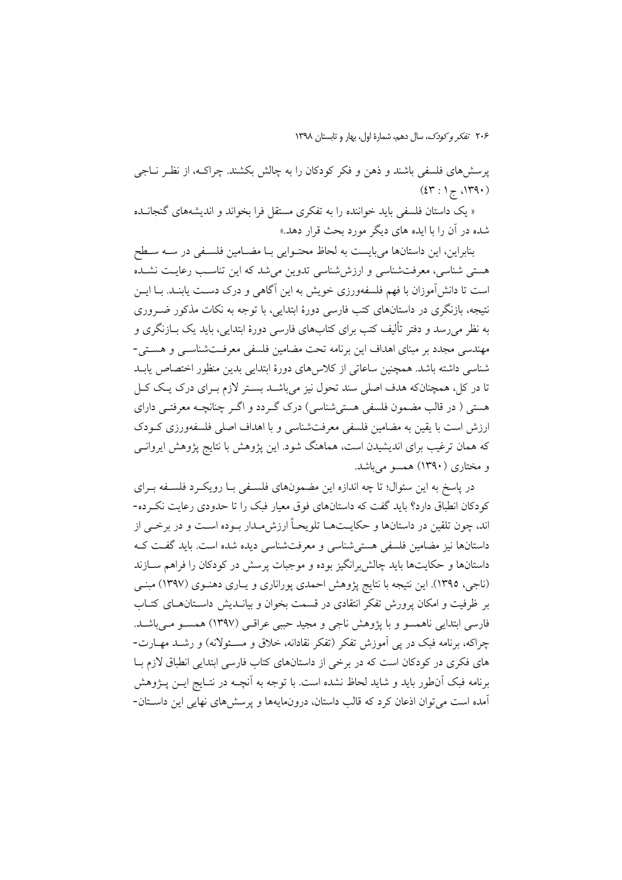پرسشهای فلسفی باشند و ذهن و فکر کودکان را به چالش بکشند. چراکـه، از نظـر نــاجی  $(2\mathfrak{r}:1_{\widetilde{C}}1\mathfrak{r}\mathfrak{q}\cdot)$ 

« یک داستان فلسفی باید خواننده را به تفکری مستقل فرا بخواند و اندیشههای گنجانده شده در آن را با ایده های دیگر مورد بحث قرار دهد.»

بنابراین، این داستانها میبایست به لحاظ محتـوایی بـا مضـامین فلسـفی در سـه سـطح هستی شناسی، معرفتشناسی و ارزششناسی تدوین می شد که این تناسب رعایت نشـده است تا دانش آموزان با فهم فلسفهورزي خويش به اين آگاهي و درک دسـت پابنـد. بــا ايــن نتیجه، بازنگری در داستانهای کتب فارسی دورهٔ ابتدایی، با توجه به نکات مذکور ضـروری به نظر می رسد و دفتر تألیف کتب برای کتابهای فارسی دورهٔ ابتدایی، باید یک بــازنگری و مهندسی مجدد بر مبنای اهداف این برنامه تحت مضامین فلسفی معرفتشناسبی و هستی-شناسی داشته باشد. همچنین ساعاتی از کلاس های دورهٔ ابتدایی بدین منظور اختصاص یابـد تا در کل، همچنانکه هدف اصلی سند تحول نیز میباشـد بسـتر لازم بـرای درک یـک کـل هستی ( در قالب مضمون فلسفی هستی شناسی) درک گـردد و اگـر چنانچــه معرفتــی دارای ارزش است با یقین به مضامین فلسفی معرفتشناسی و با اهداف اصلی فلسفهورزی کـودک که همان ترغیب برای اندیشیدن است، هماهنگ شود. این پژوهش با نتایج پژوهش ایروانــی و مختاری (۱۳۹۰) همسو میباشد.

در پاسخ به این سئوال؛ تا چه اندازه این مضمونهای فلسفی بـا رویکـرد فلسـفه بـرای کودکان انطباق دارد؟ باید گفت که داستانهای فوق معیار فبک را تا حدودی رعایت نکرده-اند، چون تلقین در داستانها و حکایــتهــا تلویحــاً ارزش۵مــدار بــوده اســت و در برخــی از داستانها نيز مضامين فلسفى هستى شناسى و معرفت شناسى ديده شده است. بايد گفت كـه داستانها و حکایتها باید چالش برانگیز بوده و موجبات پرسش در کودکان را فراهم ســازند (ناجی، ۱۳۹۵). این نتیجه با نتایج پژوهش احمدی پوراناری و یـاری دهنـوی (۱۳۹۷) مبنـی بر ظرفیت و امکان پرورش تفکر انتقادی در قسمت بخوان و بیانــدیش داســتانهــای کتــاب فارسی ابتدایی ناهمسو و با پژوهش ناجی و مجید حببی عراقبی (۱۳۹۷) همسـو مـ ٍباشـد. چراکه، برنامه فبک در پی اَموزش تفکر (تفکر نقادانه، خلاق و مسـئولانه) و رشـد مهـارت-های فکری در کودکان است که در برخی از داستانهای کتاب فارسی ابتدایی انطباق لازم با برنامه فبک آنطور باید و شاید لحاظ نشده است. با توجه به آنچــه در نتــایج ایــن پــژوهش آمده است می توان اذعان کرد که قالب داستان، درونمایهها و پرسشهای نهایی این داستان-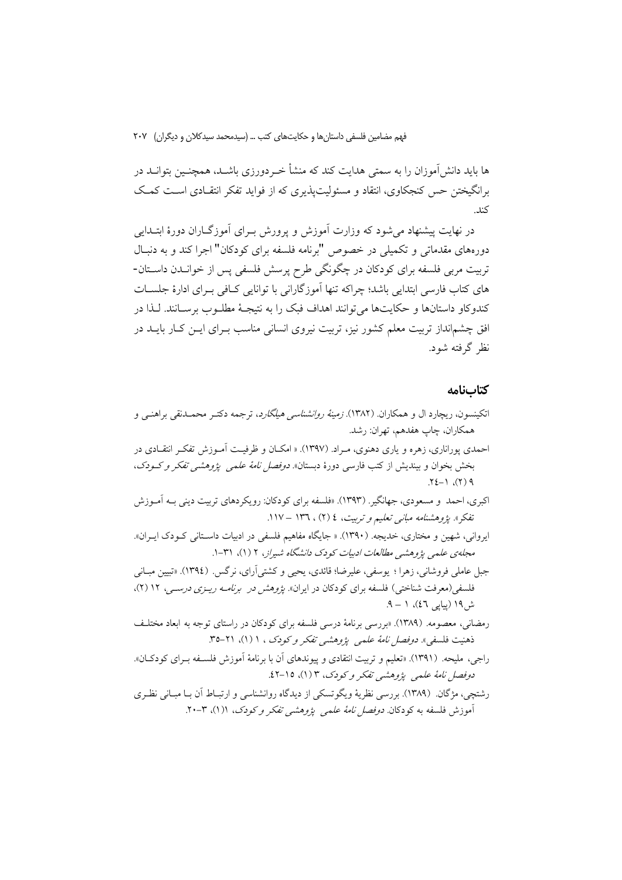ها باید دانش آموزان را به سمتی هدایت کند که منشأ خــردورزی باشــد، همچنــین بتوانــد در برانگیختن حس کنجکاوی، انتقاد و مسئولیتپذیری که از فواید تفکر انتقـادی اسـت کمـک كند.

در نهایت پیشنهاد می شود که وزارت آموزش و پرورش بـرای آموزگــاران دورهٔ ابتــدایی دورههای مقدماتی و تکمیلی در خصوص "برنامه فلسفه برای کودکان" اجرا کند و به دنبـال تربیت مربی فلسفه برای کودکان در چگونگی طرح پرسش فلسفی پس از خوانــدن داســتان-های کتاب فارسی ابتدایی باشد؛ چراکه تنها آموزگارانی با توانایی کــافی بــرای ادارهٔ جلســات کندوکاو داستانها و حکایتها می توانند اهداف فبک را به نتیجـهٔ مطلـوب برســانند. لـذا در افق چشم|نداز تربیت معلم کشور نیز، تربیت نیروی انسانی مناسب بـرای ایــن کــار بایــد در نظر گرفته شود.

### كتابنامه

- اتکینسون، ریچارد ال و همکاران. (۱۳۸۲). *زمینهٔ روانشناسی هیلگارد*، ترجمه دکتـر محمـدنقی براهنــی و همكاران، چاپ هفدهم، تهران: رشد. احمدی پوراناری، زهره و یاری دهنوی، مـراد. (۱۳۹۷). « امکـان و ظرفیـت آمـوزش تفکـر انتقـادی در
- بخش بخوان و بیندیش از کتب فارسی دورهٔ دبستان» *دوفصل نامهٔ علمی پژوهشی تفکر و کـودک*،  $\uparrow$   $\uparrow$   $\uparrow$   $\uparrow$   $\uparrow$   $\uparrow$   $\uparrow$   $\uparrow$
- اکبري، احمد و مسعودي، جهانگير . (١٣٩٣). «فلسفه براي کو دکان: رويکر دهاي تربيت ديني بــه آمــوزش تفکر». پژوهشنامه مبانی تعلیم و تربیت، ٤ (٢) ، ١٣٦ – ١١٧.
- ایروانی، شهین و مختاری، خدیجه. (۱۳۹۰). « جایگاه مفاهیم فلسفی در ادبیات داسـتانی کـودک ایـران». مجلهی علمی پژوهشی مطالعات ادبیات کودک دانشگاه شیراز، ۲ (۱)، ۳۱-۱.
- جبل عاملي فروشاني، زهرا ؛ يوسفي، عليرضا؛ قائدي، يحيى و كشتى أراي، نرگس. (١٣٩٤). «تبيين مبــاني فلسفی(معرفت شناختی) فلسفه برای کودکان در ایران». *پژوهش در برنامـه ریــزی درســی*، ۱۲ (۲)، ش ۱۹ (سامر ٤٦)،  $(-1)$ .
- رمضانی، معصومه. (١٣٨٩). «بررسي برنامهٔ درسي فلسفه براي كودكان در راستاي توجه به ابعاد مختلف ذهنيت فلسفي». *دوفصل نامهٔ علمی پژوهشی تفکر و کودک* ، ۱ (۱)، ۲۱-۳۵.
- راجي، مليحه. (١٣٩١). «تعليم و تربيت انتقادي و پيوندهاي أن با برنامهٔ أموزش فلسـفه بـراي كودكــان». دوفصل نامهٔ علمی پژوهشی تفکر و کودک، ۳ (۱)، ۱۵-۱۲.
- رشتچی، مژگان (۱۳۸۹). بررسی نظریهٔ ویگوتسکی از دیدگاه روانشناسی و ارتبـاط آن بــا مبــانی نظـری آموزش فلسفه به کودکان *دوفصل نامهٔ علمی پژوهشی تفکر و کودک*، ۱(۱)، ۲**۰**-۲.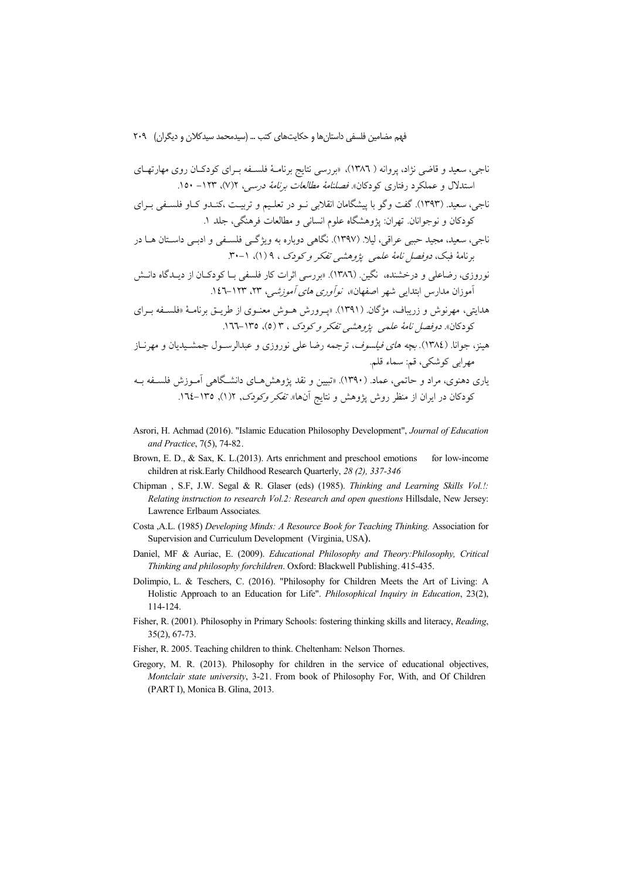- Asrori, H. Achmad (2016). "Islamic Education Philosophy Development", Journal of Education and Practice, 7(5), 74-82.
- Brown, E. D., & Sax, K. L.(2013). Arts enrichment and preschool emotions for low-income children at risk. Early Childhood Research Quarterly, 28 (2), 337-346
- Chipman , S.F, J.W. Segal & R. Glaser (eds) (1985). Thinking and Learning Skills Vol.!: Relating instruction to research Vol.2: Research and open questions Hillsdale, New Jersey: Lawrence Erlbaum Associates.
- Costa ,A.L. (1985) Developing Minds: A Resource Book for Teaching Thinking. Association for Supervision and Curriculum Development (Virginia, USA).
- Daniel, MF & Auriac, E. (2009). Educational Philosophy and Theory: Philosophy, Critical Thinking and philosophy forchildren. Oxford: Blackwell Publishing. 415-435.
- Dolimpio, L. & Teschers, C. (2016). "Philosophy for Children Meets the Art of Living: A Holistic Approach to an Education for Life". Philosophical Inquiry in Education, 23(2), 114-124.
- Fisher, R. (2001). Philosophy in Primary Schools: fostering thinking skills and literacy, Reading,  $35(2), 67-73.$
- Fisher, R. 2005. Teaching children to think. Cheltenham: Nelson Thornes.
- Gregory, M. R. (2013). Philosophy for children in the service of educational objectives, Montclair state university, 3-21. From book of Philosophy For, With, and Of Children (PART I), Monica B. Glina, 2013.